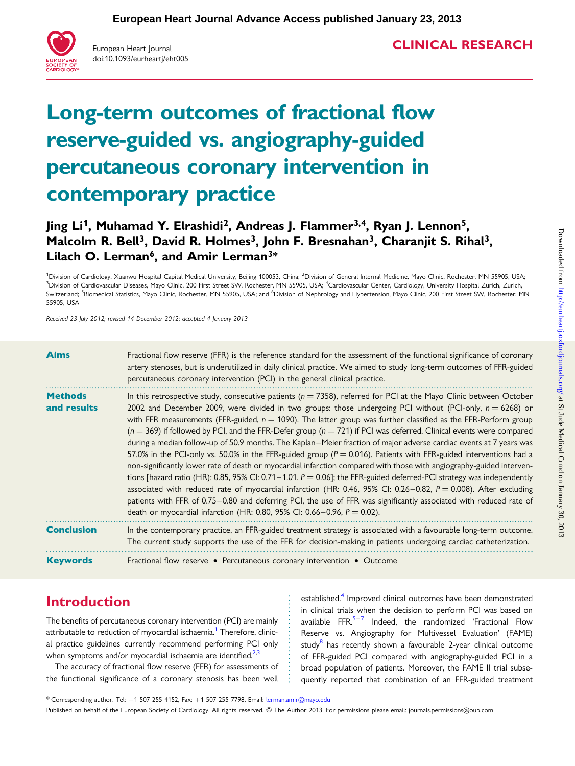

European Heart Journal doi:10.1093/eurheartj/eht005

# CLINICAL RESEARCH

# Long-term outcomes of fractional flow reserve-guided vs. angiography-guided percutaneous coronary intervention in contemporary practice

# Jing Li<sup>1</sup>, Muhamad Y. Elrashidi<sup>2</sup>, Andreas J. Flammer<sup>3,4</sup>, Ryan J. Lennon<sup>5</sup>, Malcolm R. Bell<sup>3</sup>, David R. Holmes<sup>3</sup>, John F. Bresnahan<sup>3</sup>, Charanjit S. Rihal<sup>3</sup>, Lilach O. Lerman<sup>6</sup>, and Amir Lerman<sup>3\*</sup>

<sup>1</sup>Division of Cardiology, Xuanwu Hospital Capital Medical University, Beijing 100053, China; <sup>2</sup>Division of General Internal Medicine, Mayo Clinic, Rochester, MN 55905, USA; <sup>3</sup>Division of Cardiovascular Diseases, Mayo Clinic, 200 First Street SW, Rochester, MN 55905, USA; <sup>4</sup>Cardiovascular Center, Cardiology, University Hospital Zurich, Zurich, Switzerland; <sup>5</sup>Biomedical Statistics, Mayo Clinic, Rochester, MN 55905, USA; and <sup>6</sup>Division of Nephrology and Hypertension, Mayo Clinic, 200 First Street SW, Rochester, MN 55905, USA

Received 23 July 2012; revised 14 December 2012; accepted 4 January 2013

| <b>Aims</b>                   | Fractional flow reserve (FFR) is the reference standard for the assessment of the functional significance of coronary<br>artery stenoses, but is underutilized in daily clinical practice. We aimed to study long-term outcomes of FFR-guided<br>percutaneous coronary intervention (PCI) in the general clinical practice.                                                                                                                                                                                                                                                                                                                                                                                                                                                                                                                                                                                                                                                                                                                                                                                                                                                                                                                                                                                       |
|-------------------------------|-------------------------------------------------------------------------------------------------------------------------------------------------------------------------------------------------------------------------------------------------------------------------------------------------------------------------------------------------------------------------------------------------------------------------------------------------------------------------------------------------------------------------------------------------------------------------------------------------------------------------------------------------------------------------------------------------------------------------------------------------------------------------------------------------------------------------------------------------------------------------------------------------------------------------------------------------------------------------------------------------------------------------------------------------------------------------------------------------------------------------------------------------------------------------------------------------------------------------------------------------------------------------------------------------------------------|
| <b>Methods</b><br>and results | In this retrospective study, consecutive patients ( $n = 7358$ ), referred for PCI at the Mayo Clinic between October<br>2002 and December 2009, were divided in two groups: those undergoing PCI without (PCI-only, $n = 6268$ ) or<br>with FFR measurements (FFR-guided, $n = 1090$ ). The latter group was further classified as the FFR-Perform group<br>$(n = 369)$ if followed by PCI, and the FFR-Defer group $(n = 721)$ if PCI was deferred. Clinical events were compared<br>during a median follow-up of 50.9 months. The Kaplan-Meier fraction of major adverse cardiac events at 7 years was<br>57.0% in the PCI-only vs. 50.0% in the FFR-guided group ( $P = 0.016$ ). Patients with FFR-guided interventions had a<br>non-significantly lower rate of death or myocardial infarction compared with those with angiography-guided interven-<br>tions [hazard ratio (HR): 0.85, 95% CI: 0.71 – 1.01, $P = 0.06$ ]; the FFR-guided deferred-PCI strategy was independently<br>associated with reduced rate of myocardial infarction (HR: 0.46, 95% CI: 0.26–0.82, $P = 0.008$ ). After excluding<br>patients with FFR of 0.75-0.80 and deferring PCI, the use of FFR was significantly associated with reduced rate of<br>death or myocardial infarction (HR: 0.80, 95% CI: 0.66-0.96, $P = 0.02$ ). |
| <b>Conclusion</b>             | In the contemporary practice, an FFR-guided treatment strategy is associated with a favourable long-term outcome.<br>The current study supports the use of the FFR for decision-making in patients undergoing cardiac catheterization.                                                                                                                                                                                                                                                                                                                                                                                                                                                                                                                                                                                                                                                                                                                                                                                                                                                                                                                                                                                                                                                                            |
| <b>Keywords</b>               | Fractional flow reserve • Percutaneous coronary intervention • Outcome                                                                                                                                                                                                                                                                                                                                                                                                                                                                                                                                                                                                                                                                                                                                                                                                                                                                                                                                                                                                                                                                                                                                                                                                                                            |

# Introduction

The benefits of percutaneous coronary intervention (PCI) are mainly attributable to reduction of myocardial ischaemia.<sup>[1](#page-7-0)</sup> Therefore, clinical practice guidelines currently recommend performing PCI only when symptoms and/or myocardial ischaemia are identified. $2,3$ 

The accuracy of fractional flow reserve (FFR) for assessments of the functional significance of a coronary stenosis has been well

established.<sup>[4](#page-7-0)</sup> Improved clinical outcomes have been demonstrated in clinical trials when the decision to perform PCI was based on available FFR.<sup>[5](#page-7-0)–[7](#page-8-0)</sup> Indeed, the randomized 'Fractional Flow Reserve vs. Angiography for Multivessel Evaluation' (FAME) study<sup>[8](#page-8-0)</sup> has recently shown a favourable 2-year clinical outcome of FFR-guided PCI compared with angiography-guided PCI in a broad population of patients. Moreover, the FAME II trial subsequently reported that combination of an FFR-guided treatment

\* Corresponding author. Tel: +1 507 255 4152, Fax: +1 507 255 7798, Email: [lerman.amir@mayo.edu](mailto:lerman.amir@mayo.edu)

Published on behalf of the European Society of Cardiology. All rights reserved. © The Author 2013. For permissions please email: journals.permissions@oup.com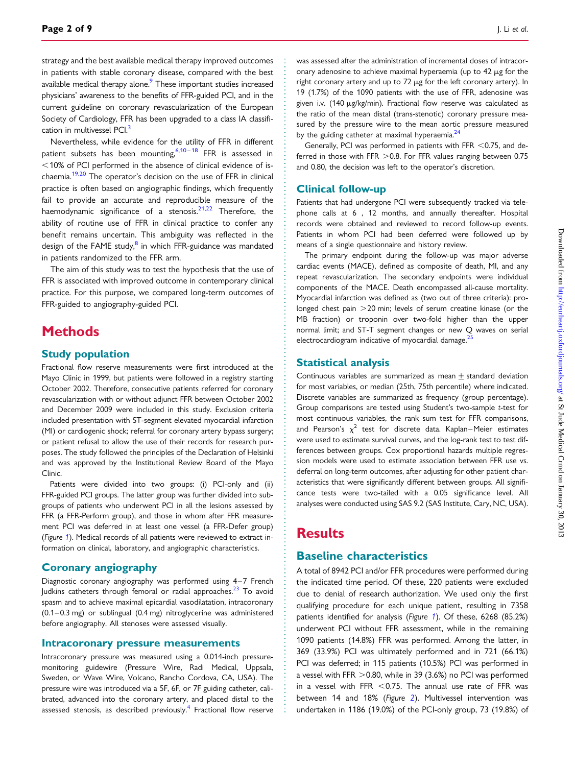strategy and the best available medical therapy improved outcomes in patients with stable coronary disease, compared with the best available medical therapy alone.<sup>[9](#page-8-0)</sup> These important studies increased physicians' awareness to the benefits of FFR-guided PCI, and in the current guideline on coronary revascularization of the European Society of Cardiology, FFR has been upgraded to a class IA classifi-cation in multivessel PCI.<sup>[3](#page-7-0)</sup>

Nevertheless, while evidence for the utility of FFR in different patient subsets has been mounting,  $6,10-18$  $6,10-18$  $6,10-18$  $6,10-18$  FFR is assessed in  $<$  10% of PCI performed in the absence of clinical evidence of is-chaemia.<sup>[19,20](#page-8-0)</sup> The operator's decision on the use of FFR in clinical practice is often based on angiographic findings, which frequently fail to provide an accurate and reproducible measure of the haemodynamic significance of a stenosis.<sup>[21,22](#page-8-0)</sup> Therefore, the ability of routine use of FFR in clinical practice to confer any benefit remains uncertain. This ambiguity was reflected in the design of the FAME study,<sup>[8](#page-8-0)</sup> in which FFR-guidance was mandated in patients randomized to the FFR arm.

The aim of this study was to test the hypothesis that the use of FFR is associated with improved outcome in contemporary clinical practice. For this purpose, we compared long-term outcomes of FFR-guided to angiography-guided PCI.

# **Methods**

#### Study population

Fractional flow reserve measurements were first introduced at the Mayo Clinic in 1999, but patients were followed in a registry starting October 2002. Therefore, consecutive patients referred for coronary revascularization with or without adjunct FFR between October 2002 and December 2009 were included in this study. Exclusion criteria included presentation with ST-segment elevated myocardial infarction (MI) or cardiogenic shock; referral for coronary artery bypass surgery; or patient refusal to allow the use of their records for research purposes. The study followed the principles of the Declaration of Helsinki and was approved by the Institutional Review Board of the Mayo Clinic.

Patients were divided into two groups: (i) PCI-only and (ii) FFR-guided PCI groups. The latter group was further divided into subgroups of patients who underwent PCI in all the lesions assessed by FFR (a FFR-Perform group), and those in whom after FFR measurement PCI was deferred in at least one vessel (a FFR-Defer group) (Figure [1](#page-2-0)). Medical records of all patients were reviewed to extract information on clinical, laboratory, and angiographic characteristics.

#### Coronary angiography

Diagnostic coronary angiography was performed using 4-7 French Judkins catheters through femoral or radial approaches.<sup>[23](#page-8-0)</sup> To avoid spasm and to achieve maximal epicardial vasodilatation, intracoronary (0.1 – 0.3 mg) or sublingual (0.4 mg) nitroglycerine was administered before angiography. All stenoses were assessed visually.

#### Intracoronary pressure measurements

Intracoronary pressure was measured using a 0.014-inch pressuremonitoring guidewire (Pressure Wire, Radi Medical, Uppsala, Sweden, or Wave Wire, Volcano, Rancho Cordova, CA, USA). The pressure wire was introduced via a 5F, 6F, or 7F guiding catheter, calibrated, advanced into the coronary artery, and placed distal to the assessed stenosis, as described previously.<sup>[4](#page-7-0)</sup> Fractional flow reserve

Generally, PCI was performed in patients with FFR  $<$  0.75, and deferred in those with FFR  $>$  0.8. For FFR values ranging between 0.75 and 0.80, the decision was left to the operator's discretion.

#### Clinical follow-up

Patients that had undergone PCI were subsequently tracked via telephone calls at 6 , 12 months, and annually thereafter. Hospital records were obtained and reviewed to record follow-up events. Patients in whom PCI had been deferred were followed up by means of a single questionnaire and history review.

The primary endpoint during the follow-up was major adverse cardiac events (MACE), defined as composite of death, MI, and any repeat revascularization. The secondary endpoints were individual components of the MACE. Death encompassed all-cause mortality. Myocardial infarction was defined as (two out of three criteria): prolonged chest pain  $>$  20 min; levels of serum creatine kinase (or the MB fraction) or troponin over two-fold higher than the upper normal limit; and ST-T segment changes or new Q waves on serial electrocardiogram indicative of myocardial damage. $25$ 

#### Statistical analysis

Continuous variables are summarized as mean  $\pm$  standard deviation for most variables, or median (25th, 75th percentile) where indicated. Discrete variables are summarized as frequency (group percentage). Group comparisons are tested using Student's two-sample t-test for most continuous variables, the rank sum test for FFR comparisons, and Pearson's  $\chi^2$  test for discrete data. Kaplan–Meier estimates were used to estimate survival curves, and the log-rank test to test differences between groups. Cox proportional hazards multiple regression models were used to estimate association between FFR use vs. deferral on long-term outcomes, after adjusting for other patient characteristics that were significantly different between groups. All significance tests were two-tailed with a 0.05 significance level. All analyses were conducted using SAS 9.2 (SAS Institute, Cary, NC, USA).

## **Results**

### Baseline characteristics

A total of 8942 PCI and/or FFR procedures were performed during the indicated time period. Of these, 220 patients were excluded due to denial of research authorization. We used only the first qualifying procedure for each unique patient, resulting in 7358 patients identified for analysis (Figure [1](#page-2-0)). Of these, 6268 (85.2%) underwent PCI without FFR assessment, while in the remaining 1090 patients (14.8%) FFR was performed. Among the latter, in 369 (33.9%) PCI was ultimately performed and in 721 (66.1%) PCI was deferred; in 115 patients (10.5%) PCI was performed in a vessel with FFR  $>$  0.80, while in 39 (3.6%) no PCI was performed in a vessel with FFR  $<$  0.75. The annual use rate of FFR was between 14 and 18% (Figure [2](#page-2-0)). Multivessel intervention was undertaken in 1186 (19.0%) of the PCI-only group, 73 (19.8%) of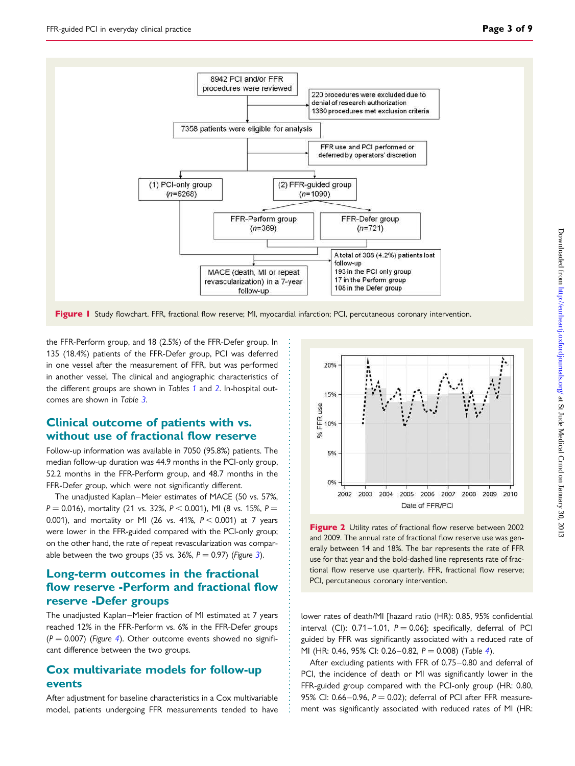<span id="page-2-0"></span>

Figure 1 Study flowchart. FFR, fractional flow reserve; MI, myocardial infarction; PCI, percutaneous coronary intervention.

the FFR-Perform group, and 18 (2.5%) of the FFR-Defer group. In 135 (18.4%) patients of the FFR-Defer group, PCI was deferred in one vessel after the measurement of FFR, but was performed in another vessel. The clinical and angiographic characteristics of the different groups are shown in Tables [1](#page-3-0) and [2](#page-4-0). In-hospital outcomes are shown in Table [3](#page-5-0).

#### Clinical outcome of patients with vs. without use of fractional flow reserve

Follow-up information was available in 7050 (95.8%) patients. The median follow-up duration was 44.9 months in the PCI-only group, 52.2 months in the FFR-Perform group, and 48.7 months in the FFR-Defer group, which were not significantly different.

The unadjusted Kaplan–Meier estimates of MACE (50 vs. 57%,  $P = 0.016$ ), mortality (21 vs. 32%,  $P < 0.001$ ), MI (8 vs. 15%,  $P =$ 0.001), and mortality or MI (26 vs. 41%,  $P < 0.001$ ) at 7 years were lower in the FFR-guided compared with the PCI-only group; on the other hand, the rate of repeat revascularization was compar-able between the two groups ([3](#page-5-0)5 vs. 36%,  $P = 0.97$ ) (Figure 3).

## Long-term outcomes in the fractional flow reserve -Perform and fractional flow reserve -Defer groups

The unadjusted Kaplan–Meier fraction of MI estimated at 7 years reached 12% in the FFR-Perform vs. 6% in the FFR-Defer groups  $(P = 0.007)$  (Figure [4](#page-6-0)). Other outcome events showed no significant difference between the two groups.

#### Cox multivariate models for follow-up events

After adjustment for baseline characteristics in a Cox multivariable model, patients undergoing FFR measurements tended to have



Figure 2 Utility rates of fractional flow reserve between 2002 and 2009. The annual rate of fractional flow reserve use was generally between 14 and 18%. The bar represents the rate of FFR use for that year and the bold-dashed line represents rate of fractional flow reserve use quarterly. FFR, fractional flow reserve; PCI, percutaneous coronary intervention.

lower rates of death/MI [hazard ratio (HR): 0.85, 95% confidential interval (CI):  $0.71-1.01$ ,  $P = 0.06$ ]; specifically, deferral of PCI guided by FFR was significantly associated with a reduced rate of MI (HR: 0.[4](#page-7-0)6, 95% CI: 0.26-0.82,  $P = 0.008$ ) (Table 4).

After excluding patients with FFR of 0.75–0.80 and deferral of PCI, the incidence of death or MI was significantly lower in the FFR-guided group compared with the PCI-only group (HR: 0.80, 95% CI: 0.66-0.96,  $P = 0.02$ ); deferral of PCI after FFR measurement was significantly associated with reduced rates of MI (HR: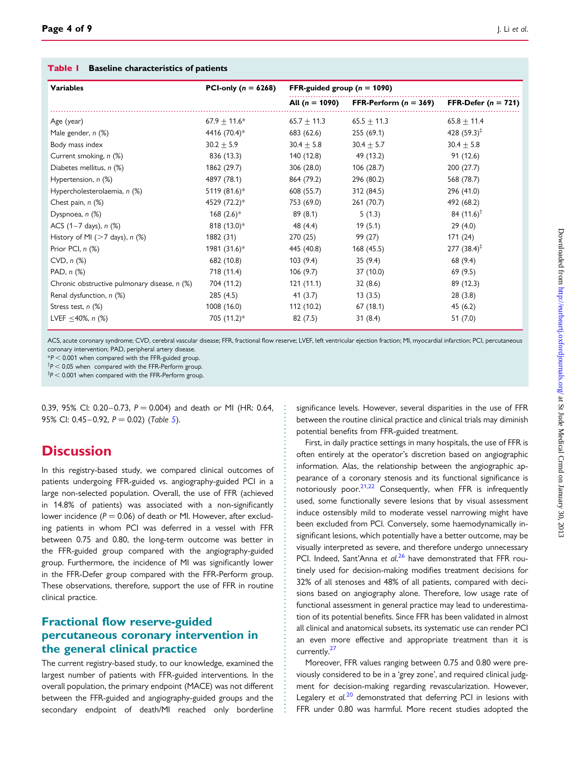#### <span id="page-3-0"></span>Table | Baseline characteristics of patients

| <b>Variables</b>                             | PCI-only ( $n = 6268$ ) | FFR-guided group ( $n = 1090$ ) |                         |                          |
|----------------------------------------------|-------------------------|---------------------------------|-------------------------|--------------------------|
|                                              |                         | All $(n = 1090)$                | FFR-Perform $(n = 369)$ | FFR-Defer $(n = 721)$    |
| Age (year)                                   | $67.9 \pm 11.6*$        | $65.7 \pm 11.3$                 | $65.5 \pm 11.3$         | $65.8 \pm 11.4$          |
| Male gender, n (%)                           | 4416 (70.4)*            | 683 (62.6)                      | 255(69.1)               | 428 $(59.3)^{\ddagger}$  |
| Body mass index                              | $30.2 \pm 5.9$          | $30.4 \pm 5.8$                  | $30.4 \pm 5.7$          | $30.4 \pm 5.8$           |
| Current smoking, n (%)                       | 836 (13.3)              | 140 (12.8)                      | 49 (13.2)               | 91(12.6)                 |
| Diabetes mellitus, n (%)                     | 1862 (29.7)             | 306 (28.0)                      | 106 (28.7)              | 200 (27.7)               |
| Hypertension, n (%)                          | 4897 (78.1)             | 864 (79.2)                      | 296 (80.2)              | 568 (78.7)               |
| Hypercholesterolaemia, n (%)                 | 5119 (81.6)*            | 608 (55.7)                      | 312 (84.5)              | 296 (41.0)               |
| Chest pain, n (%)                            | 4529 (72.2)*            | 753 (69.0)                      | 261(70.7)               | 492 (68.2)               |
| Dyspnoea, n (%)                              | $168$ (2.6)*            | 89 (8.1)                        | 5(1.3)                  | 84 $(11.6)$ <sup>†</sup> |
| ACS $(1-7 \text{ days})$ , n $(\%)$          | 818 (13.0)*             | 48 (4.4)                        | 19(5.1)                 | 29(4.0)                  |
| History of MI ( $>7$ days), n (%)            | 1882 (31)               | 270 (25)                        | 99 (27)                 | 171(24)                  |
| Prior PCI, n (%)                             | 1981 (31.6)*            | 445 (40.8)                      | 168 (45.5)              | $277 (38.4)^{\ddagger}$  |
| $CVD$ , $n$ $%$                              | 682 (10.8)              | 103(9.4)                        | 35(9.4)                 | 68 (9.4)                 |
| PAD, n (%)                                   | 718 (11.4)              | 106(9.7)                        | 37 (10.0)               | 69(9.5)                  |
| Chronic obstructive pulmonary disease, n (%) | 704 (11.2)              | 121(11.1)                       | 32(8.6)                 | 89 (12.3)                |
| Renal dysfunction, n (%)                     | 285(4.5)                | 41 (3.7)                        | 13(3.5)                 | 28(3.8)                  |
| Stress test, $n$ (%)                         | 1008 (16.0)             | 112 (10.2)                      | 67(18.1)                | 45(6.2)                  |
| LVEF $\leq$ 40%, n (%)                       | 705 (11.2)*             | 82 (7.5)                        | 31(8.4)                 | 51(7.0)                  |

ACS, acute coronary syndrome; CVD, cerebral vascular disease; FFR, fractional flow reserve; LVEF, left ventricular ejection fraction; MI, myocardial infarction; PCI, percutaneous coronary intervention; PAD, peripheral artery disease.

 $*P < 0.001$  when compared with the FFR-guided group.

 $\text{ }^{\dagger}P$  < 0.05 when compared with the FFR-Perform group.

 $^{\ddagger}\!P$   $<$  0.001 when compared with the FFR-Perform group.

0.39, 95% CI: 0.20–0.73,  $P = 0.004$ ) and death or MI (HR: 0.64, 9[5](#page-7-0)% CI: 0.45-0.92,  $P = 0.02$ ) (Table 5).

# **Discussion**

In this registry-based study, we compared clinical outcomes of patients undergoing FFR-guided vs. angiography-guided PCI in a large non-selected population. Overall, the use of FFR (achieved in 14.8% of patients) was associated with a non-significantly lower incidence ( $P = 0.06$ ) of death or MI. However, after excluding patients in whom PCI was deferred in a vessel with FFR between 0.75 and 0.80, the long-term outcome was better in the FFR-guided group compared with the angiography-guided group. Furthermore, the incidence of MI was significantly lower in the FFR-Defer group compared with the FFR-Perform group. These observations, therefore, support the use of FFR in routine clinical practice.

## Fractional flow reserve-guided percutaneous coronary intervention in the general clinical practice

The current registry-based study, to our knowledge, examined the largest number of patients with FFR-guided interventions. In the overall population, the primary endpoint (MACE) was not different between the FFR-guided and angiography-guided groups and the secondary endpoint of death/MI reached only borderline

significance levels. However, several disparities in the use of FFR between the routine clinical practice and clinical trials may diminish potential benefits from FFR-guided treatment.

First, in daily practice settings in many hospitals, the use of FFR is often entirely at the operator's discretion based on angiographic information. Alas, the relationship between the angiographic appearance of a coronary stenosis and its functional significance is notoriously poor. $21,22$  $21,22$  $21,22$  Consequently, when FFR is infrequently used, some functionally severe lesions that by visual assessment induce ostensibly mild to moderate vessel narrowing might have been excluded from PCI. Conversely, some haemodynamically insignificant lesions, which potentially have a better outcome, may be visually interpreted as severe, and therefore undergo unnecessary PCI. Indeed, Sant'Anna et al.<sup>[26](#page-8-0)</sup> have demonstrated that FFR routinely used for decision-making modifies treatment decisions for 32% of all stenoses and 48% of all patients, compared with decisions based on angiography alone. Therefore, low usage rate of functional assessment in general practice may lead to underestimation of its potential benefits. Since FFR has been validated in almost all clinical and anatomical subsets, its systematic use can render PCI an even more effective and appropriate treatment than it is currently.<sup>[27](#page-8-0)</sup>

Moreover, FFR values ranging between 0.75 and 0.80 were previously considered to be in a 'grey zone', and required clinical judgment for decision-making regarding revascularization. However, Legalery et al.<sup>[20](#page-8-0)</sup> demonstrated that deferring PCI in lesions with FFR under 0.80 was harmful. More recent studies adopted the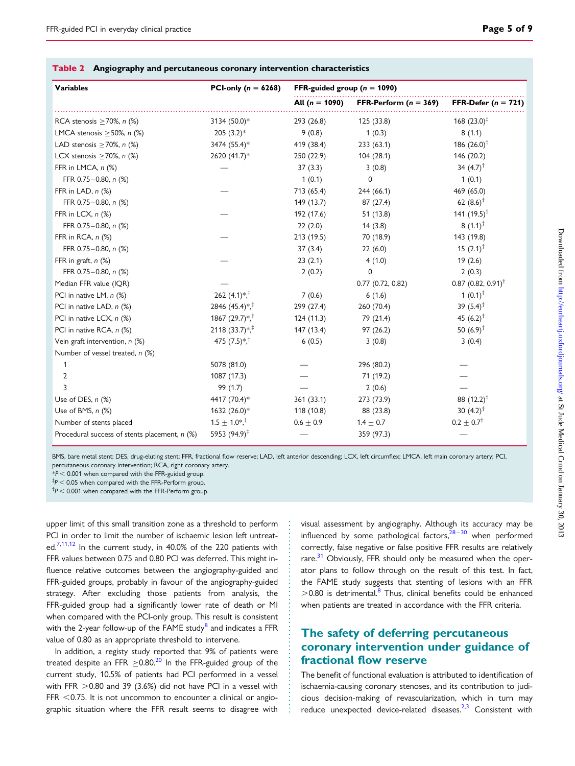<span id="page-4-0"></span>

| Table 2 |  | $\backslash$ Angiography and percutaneous coronary intervention characteristics |  |  |
|---------|--|---------------------------------------------------------------------------------|--|--|
|---------|--|---------------------------------------------------------------------------------|--|--|

| <b>Variables</b>                                | PCI-only ( $n = 6268$ )                   | FFR-guided group ( $n = 1090$ ) |                         |                                  |
|-------------------------------------------------|-------------------------------------------|---------------------------------|-------------------------|----------------------------------|
|                                                 |                                           | All $(n = 1090)$                | FFR-Perform $(n = 369)$ | FFR-Defer ( $n = 721$ )          |
| RCA stenosis $\geq$ 70%, n (%)                  | 3134 (50.0)*                              | 293 (26.8)                      | 125 (33.8)              | 168 $(23.0)^{\ddagger}$          |
| LMCA stenosis $\geq$ 50%, n (%)                 | $205(3.2)*$                               | 9(0.8)                          | 1(0.3)                  | 8(1.1)                           |
| LAD stenosis $\geq$ 70%, n (%)                  | 3474 (55.4)*                              | 419 (38.4)                      | 233(63.1)               | 186 $(26.0)^{\dagger}$           |
| LCX stenosis $\geq$ 70%, n (%)                  | 2620 (41.7)*                              | 250 (22.9)                      | 104 (28.1)              | 146 (20.2)                       |
| FFR in LMCA, n (%)                              |                                           | 37(3.3)                         | 3(0.8)                  | 34 $(4.7)^{+}$                   |
| FFR 0.75-0.80, n (%)                            |                                           | 1(0.1)                          | 0                       | 1(0.1)                           |
| FFR in LAD, n (%)                               |                                           | 713 (65.4)                      | 244 (66.1)              | 469 (65.0)                       |
| FFR 0.75-0.80, n (%)                            |                                           | 149 (13.7)                      | 87 (27.4)               | 62 $(8.6)^{\dagger}$             |
| FFR in LCX, n (%)                               |                                           | 192 (17.6)                      | 51 (13.8)               | 141 $(19.5)^{\dagger}$           |
| FFR 0.75-0.80, n (%)                            |                                           | 22(2.0)                         | 14(3.8)                 | $8(1.1)^{\dagger}$               |
| FFR in RCA, n (%)                               |                                           | 213 (19.5)                      | 70 (18.9)               | 143 (19.8)                       |
| FFR 0.75-0.80, n (%)                            |                                           | 37(3.4)                         | 22(6.0)                 | 15 $(2.1)^{\dagger}$             |
| FFR in graft, $n$ $(\%)$                        |                                           | 23(2.1)                         | 4(1.0)                  | 19(2.6)                          |
| FFR 0.75-0.80, n (%)                            |                                           | 2(0.2)                          | 0                       | 2(0.3)                           |
| Median FFR value (IQR)                          |                                           |                                 | $0.77$ $(0.72, 0.82)$   | $0.87$ (0.82, 0.91) <sup>†</sup> |
| PCI in native LM, n (%)                         | 262 $(4.1)*$ <sup>*</sup>                 | 7(0.6)                          | 6(1.6)                  | 1 $(0.1)^{\ddagger}$             |
| PCI in native LAD, n (%)                        | 2846 $(45.4)*$ <sup>+</sup>               | 299 (27.4)                      | 260 (70.4)              | 39 $(5.4)$ <sup>†</sup>          |
| PCI in native LCX, n (%)                        | 1867 (29.7) $*$ , <sup>†</sup>            | 124(11.3)                       | 79 (21.4)               | 45 $(6.2)^{\dagger}$             |
| PCI in native RCA, n (%)                        | 2118 (33.7) $*$ <sup>*</sup>              | 147 (13.4)                      | 97(26.2)                | 50 $(6.9)^{\dagger}$             |
| Vein graft intervention, $n$ (%)                | 475 $(7.5)$ <sup>*</sup> , <sup>†</sup>   | 6(0.5)                          | 3(0.8)                  | 3(0.4)                           |
| Number of vessel treated, n (%)                 |                                           |                                 |                         |                                  |
|                                                 | 5078 (81.0)                               |                                 | 296 (80.2)              |                                  |
| 2                                               | 1087 (17.3)                               |                                 | 71 (19.2)               |                                  |
| 3                                               | 99 (1.7)                                  |                                 | 2(0.6)                  |                                  |
| Use of DES, $n$ $(\%)$                          | 4417 (70.4)*                              | 361 (33.1)                      | 273 (73.9)              | 88 $(12.2)^{\dagger}$            |
| Use of BMS, n (%)                               | 1632 (26.0)*                              | 118 (10.8)                      | 88 (23.8)               | 30 $(4.2)^{\dagger}$             |
| Number of stents placed                         | $1.5 \pm 1.0$ <sup>*</sup> , <sup>‡</sup> | $0.6 \pm 0.9$                   | $1.4 \pm 0.7$           | $0.2 \pm 0.7^{\dagger}$          |
| Procedural success of stents placement, $n$ (%) | 5953 $(94.9)^{\ddagger}$                  |                                 | 359 (97.3)              |                                  |

BMS, bare metal stent; DES, drug-eluting stent; FFR, fractional flow reserve; LAD, left anterior descending; LCX, left circumflex; LMCA, left main coronary artery; PCI, percutaneous coronary intervention; RCA, right coronary artery.

 $*P < 0.001$  when compared with the FFR-guided group.

 $^{\ddagger}$ P  $<$  0.05 when compared with the FFR-Perform group.

 $\Delta^{\dagger}P$  < 0.001 when compared with the FFR-Perform group.

upper limit of this small transition zone as a threshold to perform PCI in order to limit the number of ischaemic lesion left untreat-ed.<sup>[7,11,12](#page-8-0)</sup> In the current study, in 40.0% of the 220 patients with FFR values between 0.75 and 0.80 PCI was deferred. This might influence relative outcomes between the angiography-guided and FFR-guided groups, probably in favour of the angiography-guided strategy. After excluding those patients from analysis, the FFR-guided group had a significantly lower rate of death or MI when compared with the PCI-only group. This result is consistent with the 2-year follow-up of the FAME study<sup>[8](#page-8-0)</sup> and indicates a FFR value of 0.80 as an appropriate threshold to intervene.

In addition, a registy study reported that 9% of patients were treated despite an FFR  $\geq$  0.80.<sup>[20](#page-8-0)</sup> In the FFR-guided group of the current study, 10.5% of patients had PCI performed in a vessel with FFR  $>0.80$  and 39 (3.6%) did not have PCI in a vessel with FFR  $<$  0.75. It is not uncommon to encounter a clinical or angiographic situation where the FFR result seems to disagree with

visual assessment by angiography. Although its accuracy may be influenced by some pathological factors, $28-30$  $28-30$  $28-30$  when performed correctly, false negative or false positive FFR results are relatively rare. $31$  Obviously, FFR should only be measured when the operator plans to follow through on the result of this test. In fact, the FAME study suggests that stenting of lesions with an FFR  $>$  0.[8](#page-8-0)0 is detrimental.<sup>8</sup> Thus, clinical benefits could be enhanced when patients are treated in accordance with the FFR criteria.

## The safety of deferring percutaneous coronary intervention under guidance of fractional flow reserve

The benefit of functional evaluation is attributed to identification of ischaemia-causing coronary stenoses, and its contribution to judicious decision-making of revascularization, which in turn may reduce unexpected device-related diseases. $2,3$  $2,3$  $2,3$  Consistent with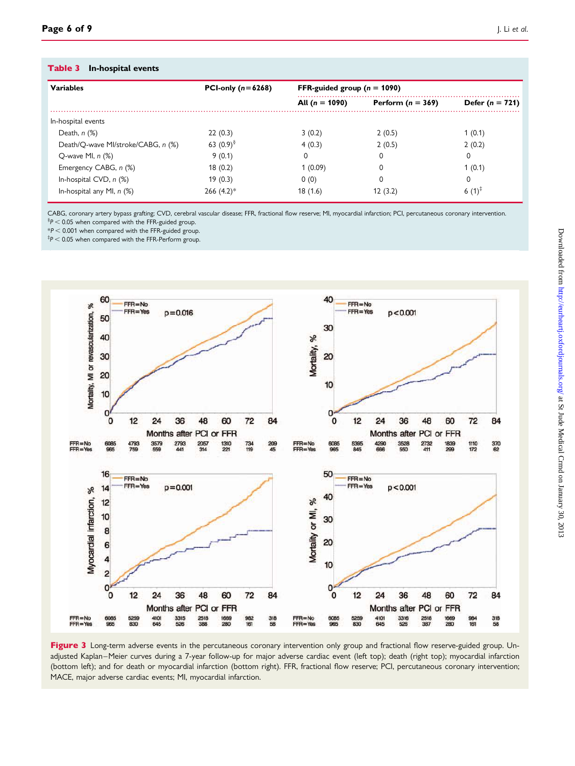#### <span id="page-5-0"></span>Table 3 In-hospital events

| <b>Variables</b>                   | PCI-only $(n=6268)$ | FFR-guided group ( $n = 1090$ ) |                     |                     |
|------------------------------------|---------------------|---------------------------------|---------------------|---------------------|
|                                    |                     | All $(n = 1090)$                | Perform $(n = 369)$ | Defer ( $n = 721$ ) |
| In-hospital events                 |                     |                                 |                     |                     |
| Death, $n$ $(\%)$                  | 22(0.3)             | 3(0.2)                          | 2(0.5)              | 1(0.1)              |
| Death/Q-wave MI/stroke/CABG, n (%) | 63 $(0.9)^8$        | 4(0.3)                          | 2(0.5)              | 2(0.2)              |
| O-wave MI, $n$ $(\%)$              | 9(0.1)              | 0                               | 0                   | 0                   |
| Emergency CABG, n (%)              | 18(0.2)             | 1(0.09)                         | $\Omega$            | 1(0.1)              |
| In-hospital CVD, $n$ $%$           | 19(0.3)             | 0(0)                            | 0                   | 0                   |
| In-hospital any MI, $n$ (%)        | $266 (4.2)$ *       | 18(1.6)                         | 12(3.2)             | 6 $(1)^{T}$         |

CABG, coronary artery bypass grafting; CVD, cerebral vascular disease; FFR, fractional flow reserve; MI, myocardial infarction; PCI, percutaneous coronary intervention.  $\frac{8}{9}$   $<$  0.05 when compared with the FFR-guided group.

 $*P < 0.001$  when compared with the FFR-guided group.

 $^{\ddagger}\!P$   $<$  0.05 when compared with the FFR-Perform group.



Figure 3 Long-term adverse events in the percutaneous coronary intervention only group and fractional flow reserve-guided group. Unadjusted Kaplan–Meier curves during a 7-year follow-up for major adverse cardiac event (left top); death (right top); myocardial infarction (bottom left); and for death or myocardial infarction (bottom right). FFR, fractional flow reserve; PCI, percutaneous coronary intervention; MACE, major adverse cardiac events; MI, myocardial infarction.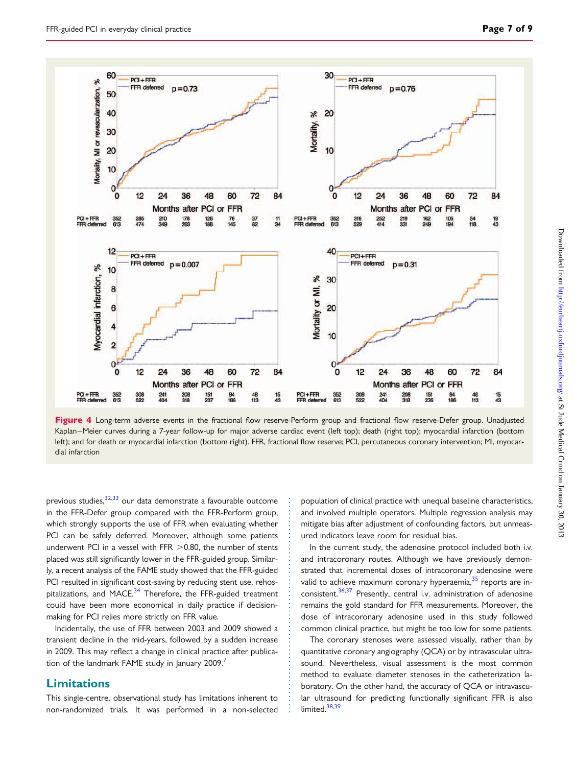<span id="page-6-0"></span>

Figure 4 Long-term adverse events in the fractional flow reserve-Perform group and fractional flow reserve-Defer group. Unadjusted Kaplan –Meier curves during a 7-year follow-up for major adverse cardiac event (left top); death (right top); myocardial infarction (bottom left); and for death or myocardial infarction (bottom right). FFR, fractional flow reserve; PCI, percutaneous coronary intervention; MI, myocardial infarction

previous studies,  $32,33$  our data demonstrate a favourable outcome in the FFR-Defer group compared with the FFR-Perform group, which strongly supports the use of FFR when evaluating whether PCI can be safely deferred. Moreover, although some patients underwent PCI in a vessel with FFR  $>$  0.80, the number of stents placed was still significantly lower in the FFR-guided group. Similarly, a recent analysis of the FAME study showed that the FFR-guided PCI resulted in significant cost-saving by reducing stent use, rehospitalizations, and MACE. $34$  Therefore, the FFR-guided treatment could have been more economical in daily practice if decisionmaking for PCI relies more strictly on FFR value.

Incidentally, the use of FFR between 2003 and 2009 showed a transient decline in the mid-years, followed by a sudden increase in 2009. This may reflect a change in clinical practice after publication of the landmark FAME study in January 2009.

#### Limitations

This single-centre, observational study has limitations inherent to non-randomized trials. It was performed in a non-selected population of clinical practice with unequal baseline characteristics, and involved multiple operators. Multiple regression analysis may mitigate bias after adjustment of confounding factors, but unmeasured indicators leave room for residual bias.

In the current study, the adenosine protocol included both i.v. and intracoronary routes. Although we have previously demonstrated that incremental doses of intracoronary adenosine were valid to achieve maximum coronary hyperaemia,<sup>[35](#page-8-0)</sup> reports are in-consistent.<sup>[36,37](#page-8-0)</sup> Presently, central i.v. administration of adenosine remains the gold standard for FFR measurements. Moreover, the dose of intracoronary adenosine used in this study followed common clinical practice, but might be too low for some patients.

The coronary stenoses were assessed visually, rather than by quantitative coronary angiography (QCA) or by intravascular ultrasound. Nevertheless, visual assessment is the most common method to evaluate diameter stenoses in the catheterization laboratory. On the other hand, the accuracy of QCA or intravascular ultrasound for predicting functionally significant FFR is also limited. $38,39$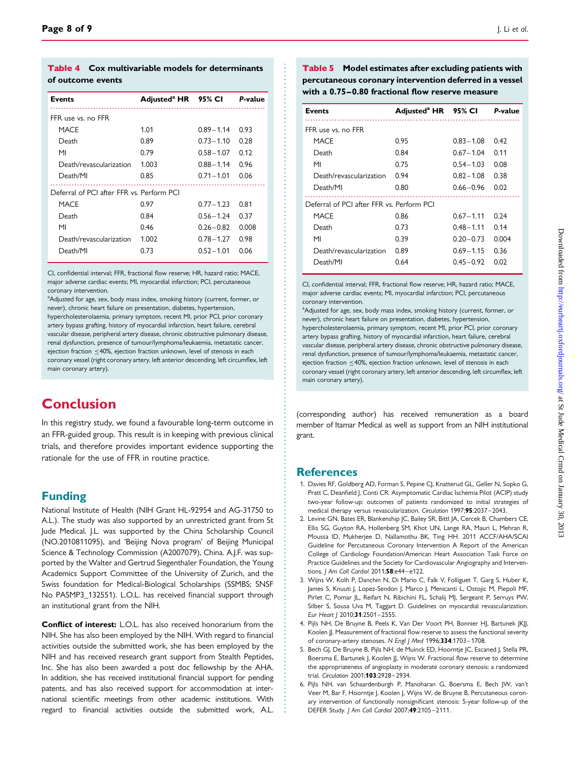<span id="page-7-0"></span>

| <b>Table 4</b> Cox multivariable models for determinants |
|----------------------------------------------------------|
| of outcome events                                        |

| <b>Events</b>                             | Adjusted <sup>a</sup> HR 95% CI P-value |               |       |  |  |
|-------------------------------------------|-----------------------------------------|---------------|-------|--|--|
| FFR use vs. no FFR                        |                                         |               |       |  |  |
| <b>MACF</b>                               | 1.01                                    | $0.89 - 1.14$ | 0.93  |  |  |
| Death                                     | 0.89                                    | $0.73 - 1.10$ | 0.28  |  |  |
| M <sub>l</sub>                            | 0.79                                    | $0.58 - 1.07$ | 0.12  |  |  |
| Death/revascularization                   | 1.003                                   | $0.88 - 1.14$ | 0.96  |  |  |
| Death/MI                                  | 0.85                                    | $0.71 - 1.01$ | 0.06  |  |  |
| Deferral of PCI after FFR vs. Perform PCI |                                         |               |       |  |  |
| MACE                                      | 0.97                                    | $0.77 - 1.23$ | 0.81  |  |  |
| Death                                     | 0.84                                    | $0.56 - 1.24$ | 0.37  |  |  |
| MI                                        | 0.46                                    | $0.26 - 0.82$ | 0.008 |  |  |
| Death/revascularization                   | 1.002                                   | $0.78 - 1.27$ | 0.98  |  |  |
| Death/MI                                  | 0.73                                    | $0.52 - 1.01$ | 0.06  |  |  |

CI, confidential interval; FFR, fractional flow reserve; HR, hazard ratio; MACE, major adverse cardiac events; MI, myocardial infarction; PCI, percutaneous coronary intervention.

<sup>a</sup>Adjusted for age, sex, body mass index, smoking history (current, former, or never), chronic heart failure on presentation, diabetes, hypertension, hypercholesterolaemia, primary symptom, recent MI, prior PCI, prior coronary artery bypass grafting, history of myocardial infarction, heart failure, cerebral vascular disease, peripheral artery disease, chronic obstructive pulmonary disease, renal dysfunction, presence of tumour/lymphoma/leukaemia, metastatic cancer, ejection fraction ≤40%, ejection fraction unknown, level of stenosis in each coronary vessel (right coronary artery, left anterior descending, left circumflex, left main coronary artery).

# Conclusion

In this registry study, we found a favourable long-term outcome in an FFR-guided group. This result is in keeping with previous clinical trials, and therefore provides important evidence supporting the rationale for the use of FFR in routine practice.

## Funding

National Institute of Health (NIH Grant HL-92954 and AG-31750 to A.L.). The study was also supported by an unrestricted grant from St Jude Medical. J.L. was supported by the China Scholarship Council (NO.2010811095), and 'Beijing Nova program' of Beijing Municipal Science & Technology Commission (A2007079), China. A.J.F. was supported by the Walter and Gertrud Siegenthaler Foundation, the Young Academics Support Committee of the University of Zurich, and the Swiss foundation for Medical-Biological Scholarships (SSMBS; SNSF No PASMP3 132551). L.O.L. has received financial support through an institutional grant from the NIH.

Conflict of interest: L.O.L. has also received honorarium from the NIH. She has also been employed by the NIH. With regard to financial activities outside the submitted work, she has been employed by the NIH and has received research grant support from Stealth Peptides, Inc. She has also been awarded a post doc fellowship by the AHA. In addition, she has received institutional financial support for pending patents, and has also received support for accommodation at international scientific meetings from other academic institutions. With regard to financial activities outside the submitted work, A.L.

Table 5 Model estimates after excluding patients with percutaneous coronary intervention deferred in a vessel with a 0.75–0.80 fractional flow reserve measure

| <b>Events</b>                             | Adjusted <sup>a</sup> HR 95% CI P-value |               |       |  |  |
|-------------------------------------------|-----------------------------------------|---------------|-------|--|--|
| FFR use vs. no FFR                        |                                         |               |       |  |  |
| MACF                                      | 0.95                                    | $0.83 - 1.08$ | 0.42  |  |  |
| Death                                     | 0.84                                    | $0.67 - 1.04$ | 0.11  |  |  |
| MI                                        | 0.75                                    | $0.54 - 1.03$ | 0.08  |  |  |
| Death/revascularization                   | 0.94                                    | $0.82 - 1.08$ | 0.38  |  |  |
| Death/MI                                  | 0.80                                    | $0.66 - 0.96$ | 0.02  |  |  |
| Deferral of PCI after FFR vs. Perform PCI |                                         |               |       |  |  |
| MACF                                      | 0.86                                    | $0.67 - 1.11$ | 0.24  |  |  |
| Death                                     | 0.73                                    | $0.48 - 1.11$ | 0.14  |  |  |
| MI                                        | 0.39                                    | $0.20 - 0.73$ | 0.004 |  |  |
| Death/revascularization                   | 0.89                                    | $0.69 - 1.15$ | 0.36  |  |  |
| Death/MI                                  | 0.64                                    | $0.45 - 0.92$ | 0.02  |  |  |

CI, confidential interval; FFR, fractional flow reserve; HR, hazard ratio; MACE, major adverse cardiac events; MI, myocardial infarction; PCI, percutaneous coronary intervention.

<sup>a</sup>Adjusted for age, sex, body mass index, smoking history (current, former, or never), chronic heart failure on presentation, diabetes, hypertension, hypercholesterolaemia, primary symptom, recent MI, prior PCI, prior coronary artery bypass grafting, history of myocardial infarction, heart failure, cerebral vascular disease, peripheral artery disease, chronic obstructive pulmonary disease, renal dysfunction, presence of tumour/lymphoma/leukaemia, metastatic cancer, ejection fraction <40%, ejection fraction unknown, level of stenosis in each coronary vessel (right coronary artery, left anterior descending, left circumflex, left main coronary artery).

(corresponding author) has received remuneration as a board member of Itamar Medical as well as support from an NIH institutional grant.

## **References**

- 1. Davies RF, Goldberg AD, Forman S, Pepine CJ, Knatterud GL, Geller N, Sopko G, Pratt C, Deanfield J, Conti CR. Asymptomatic Cardiac Ischemia Pilot (ACIP) study two-year follow-up: outcomes of patients randomized to initial strategies of medical therapy versus revascularization. Circulation 1997;95:2037-2043.
- 2. Levine GN, Bates ER, Blankenship JC, Bailey SR, Bittl JA, Cercek B, Chambers CE, Ellis SG, Guyton RA, Hollenberg SM, Khot UN, Lange RA, Mauri L, Mehran R, Moussa ID, Mukherjee D, Nallamothu BK, Ting HH. 2011 ACCF/AHA/SCAI Guideline for Percutaneous Coronary Intervention A Report of the American College of Cardiology Foundation/American Heart Association Task Force on Practice Guidelines and the Society for Cardiovascular Angiography and Interventions. J Am Coll Cardiol 2011;58:e44-e122.
- 3. Wijns W, Kolh P, Danchin N, Di Mario C, Falk V, Folliguet T, Garg S, Huber K, James S, Knuuti J, Lopez-Sendon J, Marco J, Menicanti L, Ostojic M, Piepoli MF, Pirlet C, Pomar JL, Reifart N, Ribichini FL, Schalij MJ, Sergeant P, Serruys PW, Silber S, Sousa Uva M, Taggart D. Guidelines on myocardial revascularization. Eur Heart J 2010;31:2501-2555.
- 4. Pijls NH, De Bruyne B, Peels K, Van Der Voort PH, Bonnier HJ, Bartunek JKJJ, Koolen JJ. Measurement of fractional flow reserve to assess the functional severity of coronary-artery stenoses. N Engl J Med 1996;334:1703-1708.
- 5. Bech GI, De Bruyne B, Pijls NH, de Muinck ED, Hoorntie IC, Escaned I, Stella PR, Boersma E, Bartunek J, Koolen JJ, Wijns W. Fractional flow reserve to determine the appropriateness of angioplasty in moderate coronary stenosis: a randomized trial. Circulation 2001;103:2928-2934.
- 6. Pijls NH, van Schaardenburgh P, Manoharan G, Boersma E, Bech JW, van't Veer M, Bar F, Hoorntje J, Koolen J, Wijns W, de Bruyne B. Percutaneous coronary intervention of functionally nonsignificant stenosis: 5-year follow-up of the DEFER Study. J Am Coll Cardiol 2007;49:2105 –2111.